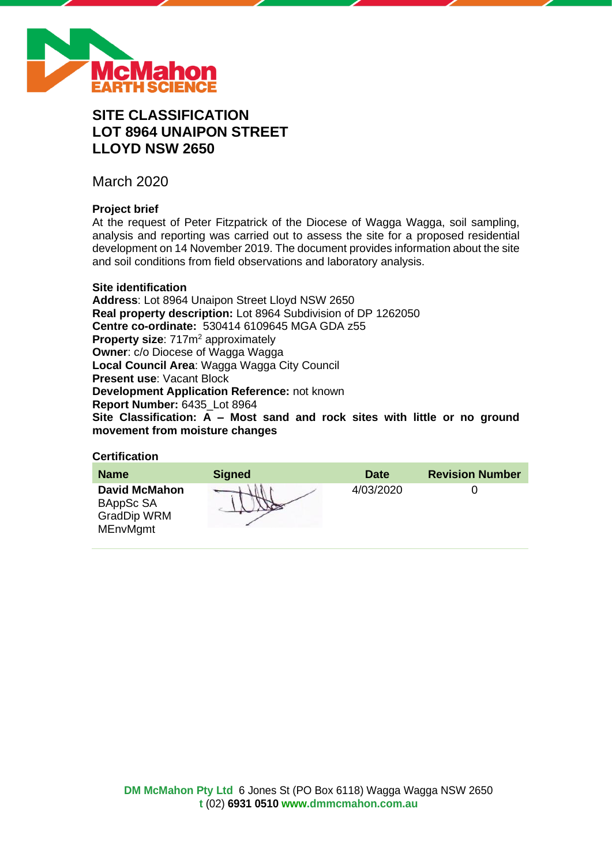

# **SITE CLASSIFICATION LOT 8964 UNAIPON STREET LLOYD NSW 2650**

March 2020

# **Project brief**

At the request of Peter Fitzpatrick of the Diocese of Wagga Wagga, soil sampling, analysis and reporting was carried out to assess the site for a proposed residential development on 14 November 2019. The document provides information about the site and soil conditions from field observations and laboratory analysis.

#### **Site identification**

**Address**: Lot 8964 Unaipon Street Lloyd NSW 2650 **Real property description:** Lot 8964 Subdivision of DP 1262050 **Centre co-ordinate:** 530414 6109645 MGA GDA z55 **Property size:** 717m<sup>2</sup> approximately **Owner**: c/o Diocese of Wagga Wagga **Local Council Area**: Wagga Wagga City Council **Present use**: Vacant Block **Development Application Reference:** not known **Report Number:** 6435\_Lot 8964 **Site Classification: A – Most sand and rock sites with little or no ground movement from moisture changes**

# **Certification**

| <b>Name</b>                                                                | <b>Signed</b> | Date      | <b>Revision Number</b> |
|----------------------------------------------------------------------------|---------------|-----------|------------------------|
| <b>David McMahon</b><br>BAppSc SA<br><b>GradDip WRM</b><br><b>MEnvMgmt</b> |               | 4/03/2020 |                        |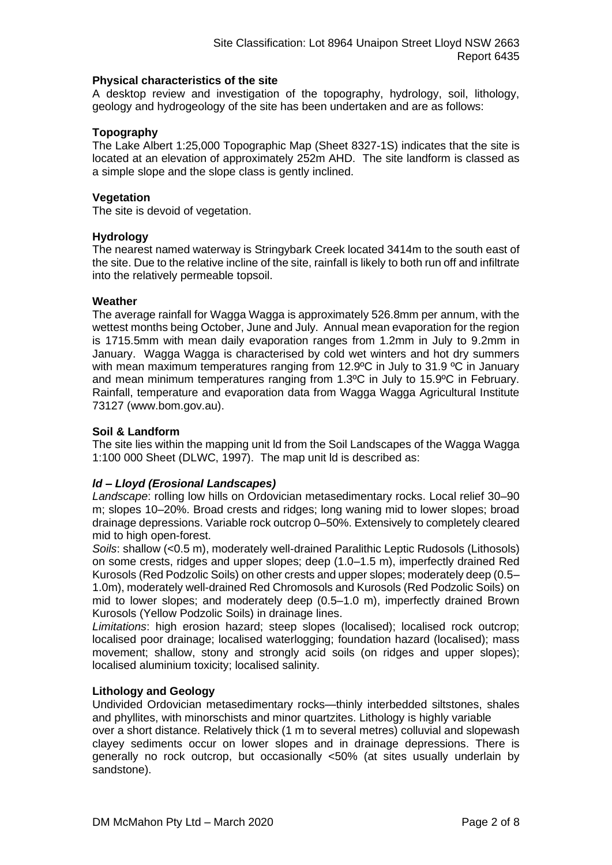#### **Physical characteristics of the site**

A desktop review and investigation of the topography, hydrology, soil, lithology, geology and hydrogeology of the site has been undertaken and are as follows:

# **Topography**

The Lake Albert 1:25,000 Topographic Map (Sheet 8327-1S) indicates that the site is located at an elevation of approximately 252m AHD. The site landform is classed as a simple slope and the slope class is gently inclined.

#### **Vegetation**

The site is devoid of vegetation.

#### **Hydrology**

The nearest named waterway is Stringybark Creek located 3414m to the south east of the site. Due to the relative incline of the site, rainfall is likely to both run off and infiltrate into the relatively permeable topsoil.

#### **Weather**

The average rainfall for Wagga Wagga is approximately 526.8mm per annum, with the wettest months being October, June and July. Annual mean evaporation for the region is 1715.5mm with mean daily evaporation ranges from 1.2mm in July to 9.2mm in January. Wagga Wagga is characterised by cold wet winters and hot dry summers with mean maximum temperatures ranging from 12.9°C in July to 31.9 °C in January and mean minimum temperatures ranging from 1.3ºC in July to 15.9ºC in February. Rainfall, temperature and evaporation data from Wagga Wagga Agricultural Institute 73127 (www.bom.gov.au).

#### **Soil & Landform**

The site lies within the mapping unit ld from the Soil Landscapes of the Wagga Wagga 1:100 000 Sheet (DLWC, 1997). The map unit ld is described as:

# *ld – Lloyd (Erosional Landscapes)*

*Landscape*: rolling low hills on Ordovician metasedimentary rocks. Local relief 30–90 m; slopes 10–20%. Broad crests and ridges; long waning mid to lower slopes; broad drainage depressions. Variable rock outcrop 0–50%. Extensively to completely cleared mid to high open-forest.

*Soils*: shallow (<0.5 m), moderately well-drained Paralithic Leptic Rudosols (Lithosols) on some crests, ridges and upper slopes; deep (1.0–1.5 m), imperfectly drained Red Kurosols (Red Podzolic Soils) on other crests and upper slopes; moderately deep (0.5– 1.0m), moderately well-drained Red Chromosols and Kurosols (Red Podzolic Soils) on mid to lower slopes; and moderately deep (0.5–1.0 m), imperfectly drained Brown Kurosols (Yellow Podzolic Soils) in drainage lines.

*Limitations*: high erosion hazard; steep slopes (localised); localised rock outcrop; localised poor drainage; localised waterlogging; foundation hazard (localised); mass movement; shallow, stony and strongly acid soils (on ridges and upper slopes); localised aluminium toxicity; localised salinity.

#### **Lithology and Geology**

Undivided Ordovician metasedimentary rocks—thinly interbedded siltstones, shales and phyllites, with minorschists and minor quartzites. Lithology is highly variable

over a short distance. Relatively thick (1 m to several metres) colluvial and slopewash clayey sediments occur on lower slopes and in drainage depressions. There is generally no rock outcrop, but occasionally <50% (at sites usually underlain by sandstone).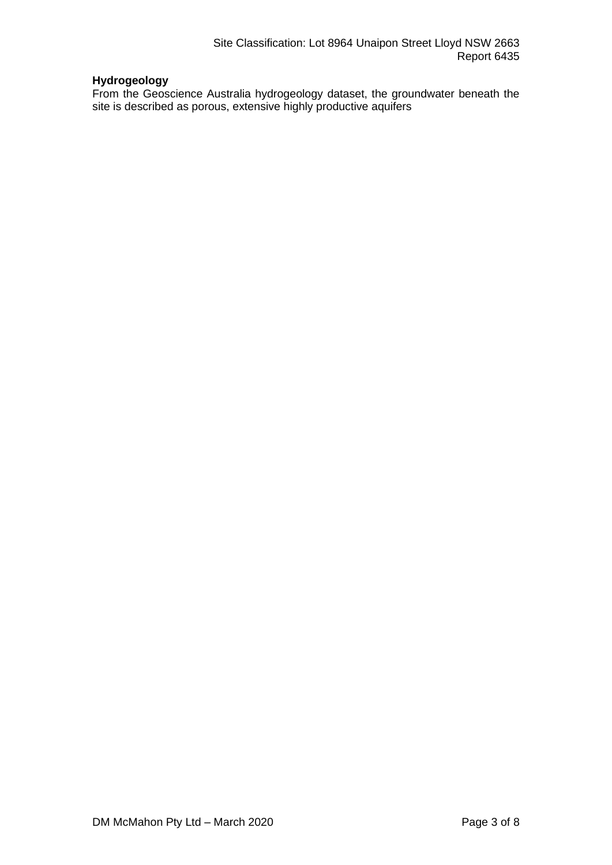# **Hydrogeology**

From the Geoscience Australia hydrogeology dataset, the groundwater beneath the site is described as porous, extensive highly productive aquifers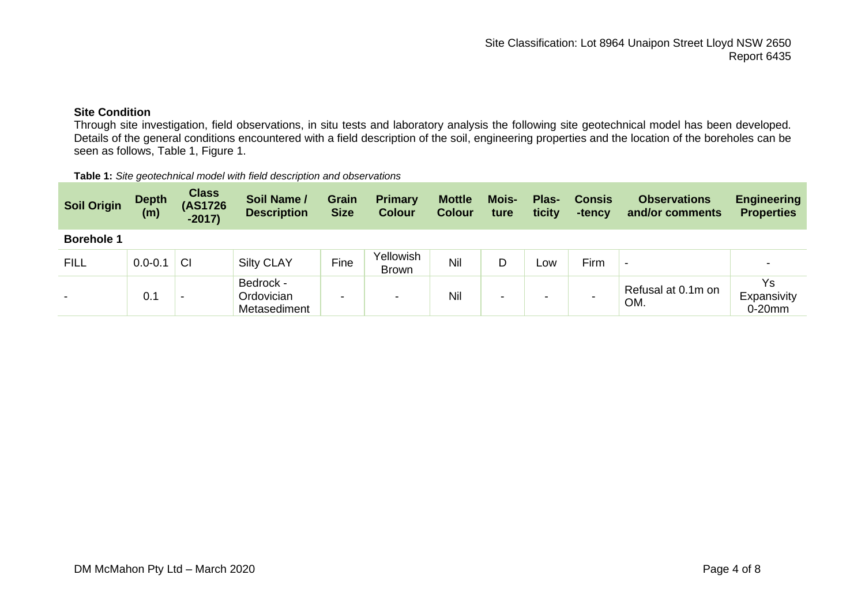# **Site Condition**

Through site investigation, field observations, in situ tests and laboratory analysis the following site geotechnical model has been developed. Details of the general conditions encountered with a field description of the soil, engineering properties and the location of the boreholes can be seen as follows, Table 1, Figure 1.

| <b>Table 1:</b> Site geotechnical model with field description and observations |
|---------------------------------------------------------------------------------|
|---------------------------------------------------------------------------------|

| <b>Soil Origin</b> | <b>Depth</b><br>(m) | <b>Class</b><br>(AS1726<br>$-2017$ | Soil Name /<br><b>Description</b>       | <b>Grain</b><br><b>Size</b> | <b>Primary</b><br><b>Colour</b> | <b>Mottle</b><br><b>Colour</b> | Mois-<br>ture | Plas-<br>ticity | <b>Consis</b><br>-tency | <b>Observations</b><br>and/or comments | <b>Engineering</b><br><b>Properties</b> |
|--------------------|---------------------|------------------------------------|-----------------------------------------|-----------------------------|---------------------------------|--------------------------------|---------------|-----------------|-------------------------|----------------------------------------|-----------------------------------------|
| <b>Borehole 1</b>  |                     |                                    |                                         |                             |                                 |                                |               |                 |                         |                                        |                                         |
| <b>FILL</b>        | $0.0 - 0.1$         | <b>CI</b>                          | <b>Silty CLAY</b>                       | Fine                        | Yellowish<br><b>Brown</b>       | Nil                            | D             | LOW             | Firm                    | $\overline{\phantom{0}}$               |                                         |
|                    | 0.1                 | -                                  | Bedrock -<br>Ordovician<br>Metasediment | -                           | -                               | Nil                            | -             | $\,$            |                         | Refusal at 0.1m on<br>OM.              | Ys<br>Expansivity<br>$0-20$ mm          |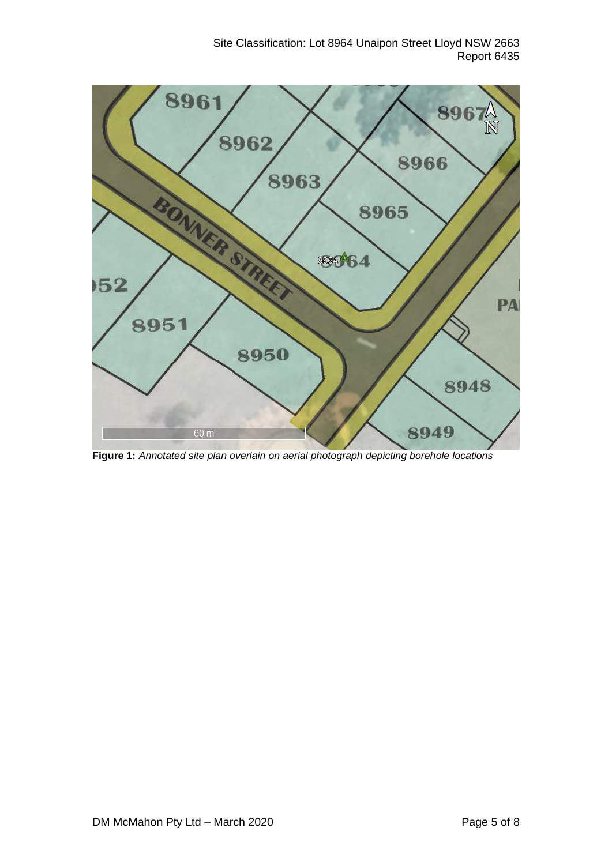Site Classification: Lot 8964 Unaipon Street Lloyd NSW 2663 Report 6435



**Figure 1:** *Annotated site plan overlain on aerial photograph depicting borehole locations*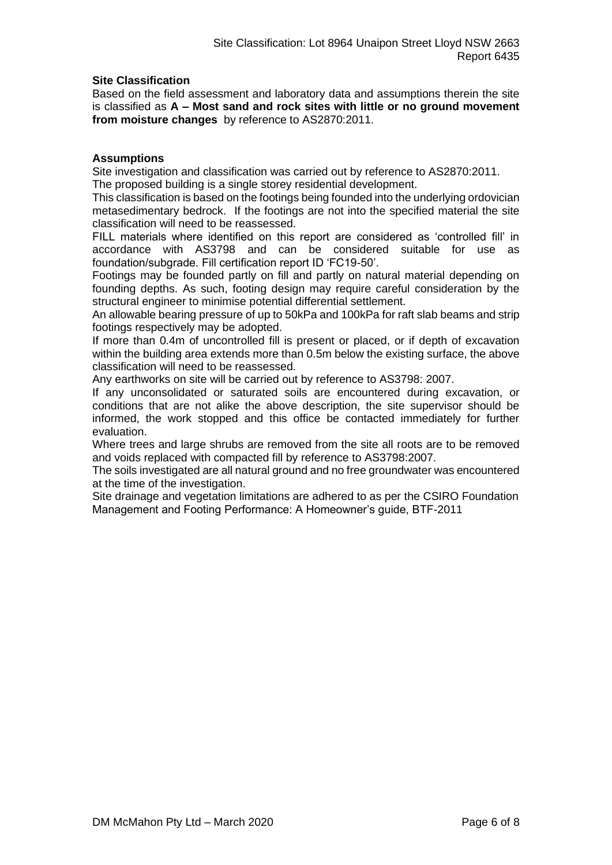# **Site Classification**

Based on the field assessment and laboratory data and assumptions therein the site is classified as **A – Most sand and rock sites with little or no ground movement from moisture changes** by reference to AS2870:2011.

#### **Assumptions**

Site investigation and classification was carried out by reference to AS2870:2011. The proposed building is a single storey residential development.

This classification is based on the footings being founded into the underlying ordovician metasedimentary bedrock. If the footings are not into the specified material the site classification will need to be reassessed.

FILL materials where identified on this report are considered as 'controlled fill' in accordance with AS3798 and can be considered suitable for use as foundation/subgrade. Fill certification report ID 'FC19-50'.

Footings may be founded partly on fill and partly on natural material depending on founding depths. As such, footing design may require careful consideration by the structural engineer to minimise potential differential settlement.

An allowable bearing pressure of up to 50kPa and 100kPa for raft slab beams and strip footings respectively may be adopted.

If more than 0.4m of uncontrolled fill is present or placed, or if depth of excavation within the building area extends more than 0.5m below the existing surface, the above classification will need to be reassessed.

Any earthworks on site will be carried out by reference to AS3798: 2007.

If any unconsolidated or saturated soils are encountered during excavation, or conditions that are not alike the above description, the site supervisor should be informed, the work stopped and this office be contacted immediately for further evaluation.

Where trees and large shrubs are removed from the site all roots are to be removed and voids replaced with compacted fill by reference to AS3798:2007.

The soils investigated are all natural ground and no free groundwater was encountered at the time of the investigation.

Site drainage and vegetation limitations are adhered to as per the CSIRO Foundation Management and Footing Performance: A Homeowner's guide, BTF-2011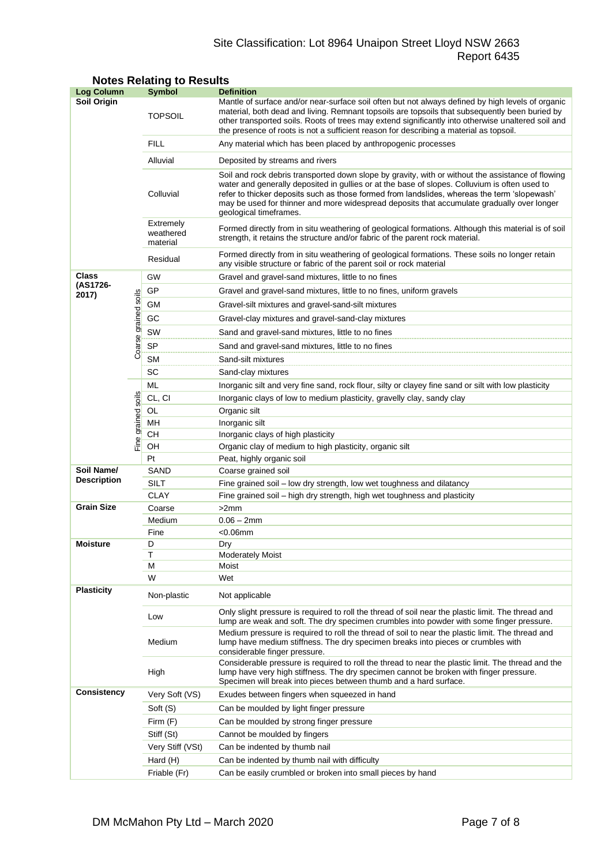# Site Classification: Lot 8964 Unaipon Street Lloyd NSW 2663 Report 6435

| <b>Log Column</b>                |                      | <b>Symbol</b>                                                                                                                                                                                                                                                                                                                                                                                                                           | <b>Definition</b>                                                                                                                                                                                                                                                                                                                                                                                   |  |  |  |
|----------------------------------|----------------------|-----------------------------------------------------------------------------------------------------------------------------------------------------------------------------------------------------------------------------------------------------------------------------------------------------------------------------------------------------------------------------------------------------------------------------------------|-----------------------------------------------------------------------------------------------------------------------------------------------------------------------------------------------------------------------------------------------------------------------------------------------------------------------------------------------------------------------------------------------------|--|--|--|
| Soil Origin                      |                      | <b>TOPSOIL</b>                                                                                                                                                                                                                                                                                                                                                                                                                          | Mantle of surface and/or near-surface soil often but not always defined by high levels of organic<br>material, both dead and living. Remnant topsoils are topsoils that subsequently been buried by<br>other transported soils. Roots of trees may extend significantly into otherwise unaltered soil and<br>the presence of roots is not a sufficient reason for describing a material as topsoil. |  |  |  |
|                                  |                      | <b>FILL</b>                                                                                                                                                                                                                                                                                                                                                                                                                             | Any material which has been placed by anthropogenic processes                                                                                                                                                                                                                                                                                                                                       |  |  |  |
|                                  |                      | Alluvial                                                                                                                                                                                                                                                                                                                                                                                                                                | Deposited by streams and rivers                                                                                                                                                                                                                                                                                                                                                                     |  |  |  |
|                                  |                      | Soil and rock debris transported down slope by gravity, with or without the assistance of flowing<br>water and generally deposited in gullies or at the base of slopes. Colluvium is often used to<br>Colluvial<br>refer to thicker deposits such as those formed from landslides, whereas the term 'slopewash'<br>may be used for thinner and more widespread deposits that accumulate gradually over longer<br>geological timeframes. |                                                                                                                                                                                                                                                                                                                                                                                                     |  |  |  |
|                                  |                      | Extremely<br>weathered<br>material                                                                                                                                                                                                                                                                                                                                                                                                      | Formed directly from in situ weathering of geological formations. Although this material is of soil<br>strength, it retains the structure and/or fabric of the parent rock material.                                                                                                                                                                                                                |  |  |  |
|                                  |                      | Residual                                                                                                                                                                                                                                                                                                                                                                                                                                | Formed directly from in situ weathering of geological formations. These soils no longer retain<br>any visible structure or fabric of the parent soil or rock material                                                                                                                                                                                                                               |  |  |  |
| Class                            |                      | GW                                                                                                                                                                                                                                                                                                                                                                                                                                      | Gravel and gravel-sand mixtures, little to no fines                                                                                                                                                                                                                                                                                                                                                 |  |  |  |
| (AS1726-<br>2017)                |                      | GP                                                                                                                                                                                                                                                                                                                                                                                                                                      | Gravel and gravel-sand mixtures, little to no fines, uniform gravels                                                                                                                                                                                                                                                                                                                                |  |  |  |
|                                  |                      | <b>GM</b>                                                                                                                                                                                                                                                                                                                                                                                                                               | Gravel-silt mixtures and gravel-sand-silt mixtures                                                                                                                                                                                                                                                                                                                                                  |  |  |  |
|                                  |                      | GC                                                                                                                                                                                                                                                                                                                                                                                                                                      | Gravel-clay mixtures and gravel-sand-clay mixtures                                                                                                                                                                                                                                                                                                                                                  |  |  |  |
|                                  |                      | SW                                                                                                                                                                                                                                                                                                                                                                                                                                      | Sand and gravel-sand mixtures, little to no fines                                                                                                                                                                                                                                                                                                                                                   |  |  |  |
|                                  | Coarse grained soils | <b>SP</b>                                                                                                                                                                                                                                                                                                                                                                                                                               | Sand and gravel-sand mixtures, little to no fines                                                                                                                                                                                                                                                                                                                                                   |  |  |  |
|                                  |                      | <b>SM</b>                                                                                                                                                                                                                                                                                                                                                                                                                               | Sand-silt mixtures                                                                                                                                                                                                                                                                                                                                                                                  |  |  |  |
|                                  |                      | SC                                                                                                                                                                                                                                                                                                                                                                                                                                      | Sand-clay mixtures                                                                                                                                                                                                                                                                                                                                                                                  |  |  |  |
|                                  |                      | ML                                                                                                                                                                                                                                                                                                                                                                                                                                      | Inorganic silt and very fine sand, rock flour, silty or clayey fine sand or silt with low plasticity                                                                                                                                                                                                                                                                                                |  |  |  |
|                                  |                      | CL, CI                                                                                                                                                                                                                                                                                                                                                                                                                                  | Inorganic clays of low to medium plasticity, gravelly clay, sandy clay                                                                                                                                                                                                                                                                                                                              |  |  |  |
|                                  | soils                | OL                                                                                                                                                                                                                                                                                                                                                                                                                                      | Organic silt                                                                                                                                                                                                                                                                                                                                                                                        |  |  |  |
|                                  |                      | MH                                                                                                                                                                                                                                                                                                                                                                                                                                      | Inorganic silt                                                                                                                                                                                                                                                                                                                                                                                      |  |  |  |
| Fine grained                     |                      | CН                                                                                                                                                                                                                                                                                                                                                                                                                                      | Inorganic clays of high plasticity                                                                                                                                                                                                                                                                                                                                                                  |  |  |  |
|                                  |                      | OH                                                                                                                                                                                                                                                                                                                                                                                                                                      | Organic clay of medium to high plasticity, organic silt                                                                                                                                                                                                                                                                                                                                             |  |  |  |
|                                  |                      | Pt                                                                                                                                                                                                                                                                                                                                                                                                                                      | Peat, highly organic soil                                                                                                                                                                                                                                                                                                                                                                           |  |  |  |
| Soil Name/<br><b>Description</b> |                      | SAND                                                                                                                                                                                                                                                                                                                                                                                                                                    | Coarse grained soil                                                                                                                                                                                                                                                                                                                                                                                 |  |  |  |
|                                  |                      | <b>SILT</b>                                                                                                                                                                                                                                                                                                                                                                                                                             | Fine grained soil - low dry strength, low wet toughness and dilatancy                                                                                                                                                                                                                                                                                                                               |  |  |  |
|                                  |                      | <b>CLAY</b>                                                                                                                                                                                                                                                                                                                                                                                                                             | Fine grained soil - high dry strength, high wet toughness and plasticity                                                                                                                                                                                                                                                                                                                            |  |  |  |
| <b>Grain Size</b>                |                      | Coarse                                                                                                                                                                                                                                                                                                                                                                                                                                  | >2mm                                                                                                                                                                                                                                                                                                                                                                                                |  |  |  |
|                                  |                      | Medium                                                                                                                                                                                                                                                                                                                                                                                                                                  | $0.06 - 2mm$                                                                                                                                                                                                                                                                                                                                                                                        |  |  |  |
|                                  |                      | Fine                                                                                                                                                                                                                                                                                                                                                                                                                                    | $<$ 0.06 $mm$                                                                                                                                                                                                                                                                                                                                                                                       |  |  |  |
| <b>Moisture</b>                  |                      | D<br>T                                                                                                                                                                                                                                                                                                                                                                                                                                  | Dry                                                                                                                                                                                                                                                                                                                                                                                                 |  |  |  |
|                                  |                      | М                                                                                                                                                                                                                                                                                                                                                                                                                                       | <b>Moderately Moist</b><br>Moist                                                                                                                                                                                                                                                                                                                                                                    |  |  |  |
|                                  |                      | W                                                                                                                                                                                                                                                                                                                                                                                                                                       | Wet                                                                                                                                                                                                                                                                                                                                                                                                 |  |  |  |
| <b>Plasticity</b>                |                      | Non-plastic                                                                                                                                                                                                                                                                                                                                                                                                                             | Not applicable                                                                                                                                                                                                                                                                                                                                                                                      |  |  |  |
|                                  |                      | Low                                                                                                                                                                                                                                                                                                                                                                                                                                     | Only slight pressure is required to roll the thread of soil near the plastic limit. The thread and<br>lump are weak and soft. The dry specimen crumbles into powder with some finger pressure.                                                                                                                                                                                                      |  |  |  |
|                                  |                      | Medium                                                                                                                                                                                                                                                                                                                                                                                                                                  | Medium pressure is required to roll the thread of soil to near the plastic limit. The thread and<br>lump have medium stiffness. The dry specimen breaks into pieces or crumbles with<br>considerable finger pressure.                                                                                                                                                                               |  |  |  |
|                                  |                      | High                                                                                                                                                                                                                                                                                                                                                                                                                                    | Considerable pressure is required to roll the thread to near the plastic limit. The thread and the<br>lump have very high stiffness. The dry specimen cannot be broken with finger pressure.<br>Specimen will break into pieces between thumb and a hard surface.                                                                                                                                   |  |  |  |
| <b>Consistency</b>               |                      | Very Soft (VS)                                                                                                                                                                                                                                                                                                                                                                                                                          | Exudes between fingers when squeezed in hand                                                                                                                                                                                                                                                                                                                                                        |  |  |  |
|                                  |                      | Soft (S)                                                                                                                                                                                                                                                                                                                                                                                                                                | Can be moulded by light finger pressure                                                                                                                                                                                                                                                                                                                                                             |  |  |  |
|                                  |                      | Firm $(F)$                                                                                                                                                                                                                                                                                                                                                                                                                              | Can be moulded by strong finger pressure                                                                                                                                                                                                                                                                                                                                                            |  |  |  |
|                                  |                      | Stiff (St)                                                                                                                                                                                                                                                                                                                                                                                                                              | Cannot be moulded by fingers                                                                                                                                                                                                                                                                                                                                                                        |  |  |  |
|                                  |                      | Very Stiff (VSt)                                                                                                                                                                                                                                                                                                                                                                                                                        | Can be indented by thumb nail                                                                                                                                                                                                                                                                                                                                                                       |  |  |  |
|                                  |                      | Hard (H)                                                                                                                                                                                                                                                                                                                                                                                                                                | Can be indented by thumb nail with difficulty                                                                                                                                                                                                                                                                                                                                                       |  |  |  |
|                                  |                      | Friable (Fr)                                                                                                                                                                                                                                                                                                                                                                                                                            | Can be easily crumbled or broken into small pieces by hand                                                                                                                                                                                                                                                                                                                                          |  |  |  |

# **Notes Relating to Results**